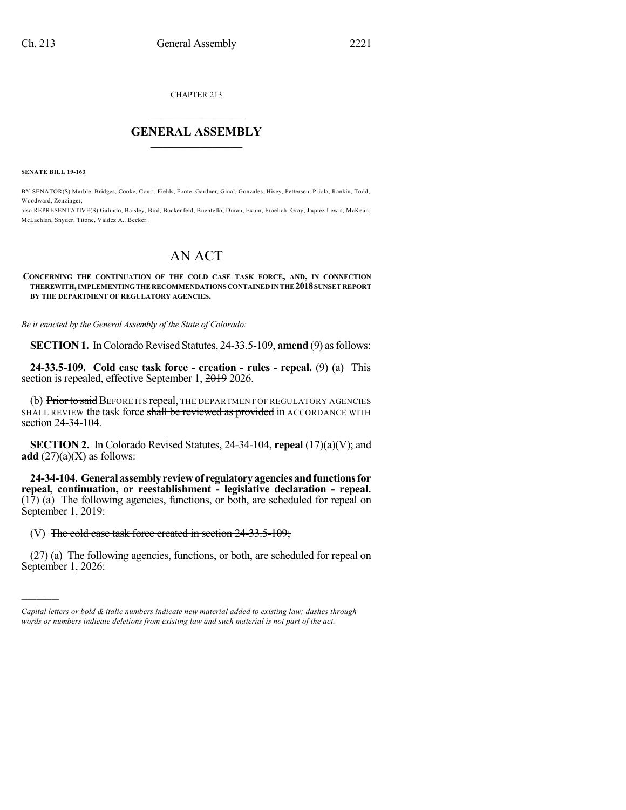CHAPTER 213

## $\overline{\phantom{a}}$  . The set of the set of the set of the set of the set of the set of the set of the set of the set of the set of the set of the set of the set of the set of the set of the set of the set of the set of the set o **GENERAL ASSEMBLY**  $\frac{1}{\sqrt{2}}$

**SENATE BILL 19-163**

)))))

BY SENATOR(S) Marble, Bridges, Cooke, Court, Fields, Foote, Gardner, Ginal, Gonzales, Hisey, Pettersen, Priola, Rankin, Todd, Woodward, Zenzinger;

also REPRESENTATIVE(S) Galindo, Baisley, Bird, Bockenfeld, Buentello, Duran, Exum, Froelich, Gray, Jaquez Lewis, McKean, McLachlan, Snyder, Titone, Valdez A., Becker.

## AN ACT

## **CONCERNING THE CONTINUATION OF THE COLD CASE TASK FORCE, AND, IN CONNECTION THEREWITH,IMPLEMENTINGTHERECOMMENDATIONS CONTAINEDINTHE2018SUNSETREPORT BY THE DEPARTMENT OF REGULATORY AGENCIES.**

*Be it enacted by the General Assembly of the State of Colorado:*

**SECTION 1.** In Colorado Revised Statutes, 24-33.5-109, **amend** (9) as follows:

**24-33.5-109. Cold case task force - creation - rules - repeal.** (9) (a) This section is repealed, effective September 1, 2019 2026.

(b) Prior to said BEFORE ITS repeal, THE DEPARTMENT OF REGULATORY AGENCIES SHALL REVIEW the task force shall be reviewed as provided in ACCORDANCE WITH section 24-34-104.

**SECTION 2.** In Colorado Revised Statutes, 24-34-104, **repeal** (17)(a)(V); and **add**  $(27)(a)(X)$  as follows:

**24-34-104. Generalassemblyreviewof regulatoryagenciesandfunctionsfor repeal, continuation, or reestablishment - legislative declaration - repeal.** (17) (a) The following agencies, functions, or both, are scheduled for repeal on September 1, 2019:

## (V) The cold case task force created in section 24-33.5-109;

(27) (a) The following agencies, functions, or both, are scheduled for repeal on September 1, 2026:

*Capital letters or bold & italic numbers indicate new material added to existing law; dashes through words or numbers indicate deletions from existing law and such material is not part of the act.*